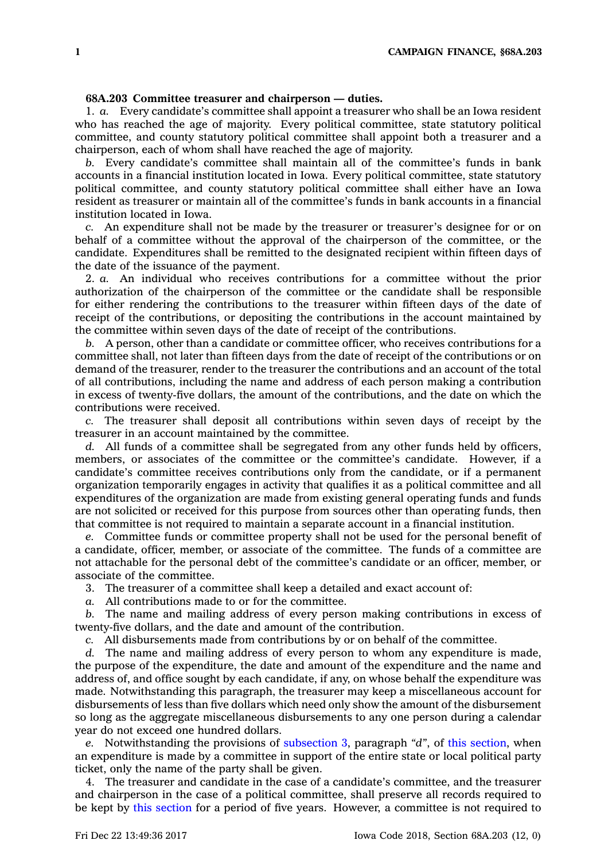## **68A.203 Committee treasurer and chairperson — duties.**

1. *a.* Every candidate's committee shall appoint <sup>a</sup> treasurer who shall be an Iowa resident who has reached the age of majority. Every political committee, state statutory political committee, and county statutory political committee shall appoint both <sup>a</sup> treasurer and <sup>a</sup> chairperson, each of whom shall have reached the age of majority.

*b.* Every candidate's committee shall maintain all of the committee's funds in bank accounts in <sup>a</sup> financial institution located in Iowa. Every political committee, state statutory political committee, and county statutory political committee shall either have an Iowa resident as treasurer or maintain all of the committee's funds in bank accounts in <sup>a</sup> financial institution located in Iowa.

*c.* An expenditure shall not be made by the treasurer or treasurer's designee for or on behalf of <sup>a</sup> committee without the approval of the chairperson of the committee, or the candidate. Expenditures shall be remitted to the designated recipient within fifteen days of the date of the issuance of the payment.

2. *a.* An individual who receives contributions for <sup>a</sup> committee without the prior authorization of the chairperson of the committee or the candidate shall be responsible for either rendering the contributions to the treasurer within fifteen days of the date of receipt of the contributions, or depositing the contributions in the account maintained by the committee within seven days of the date of receipt of the contributions.

*b.* A person, other than <sup>a</sup> candidate or committee officer, who receives contributions for <sup>a</sup> committee shall, not later than fifteen days from the date of receipt of the contributions or on demand of the treasurer, render to the treasurer the contributions and an account of the total of all contributions, including the name and address of each person making <sup>a</sup> contribution in excess of twenty-five dollars, the amount of the contributions, and the date on which the contributions were received.

*c.* The treasurer shall deposit all contributions within seven days of receipt by the treasurer in an account maintained by the committee.

*d.* All funds of <sup>a</sup> committee shall be segregated from any other funds held by officers, members, or associates of the committee or the committee's candidate. However, if <sup>a</sup> candidate's committee receives contributions only from the candidate, or if <sup>a</sup> permanent organization temporarily engages in activity that qualifies it as <sup>a</sup> political committee and all expenditures of the organization are made from existing general operating funds and funds are not solicited or received for this purpose from sources other than operating funds, then that committee is not required to maintain <sup>a</sup> separate account in <sup>a</sup> financial institution.

*e.* Committee funds or committee property shall not be used for the personal benefit of <sup>a</sup> candidate, officer, member, or associate of the committee. The funds of <sup>a</sup> committee are not attachable for the personal debt of the committee's candidate or an officer, member, or associate of the committee.

3. The treasurer of <sup>a</sup> committee shall keep <sup>a</sup> detailed and exact account of:

*a.* All contributions made to or for the committee.

*b.* The name and mailing address of every person making contributions in excess of twenty-five dollars, and the date and amount of the contribution.

*c.* All disbursements made from contributions by or on behalf of the committee.

*d.* The name and mailing address of every person to whom any expenditure is made, the purpose of the expenditure, the date and amount of the expenditure and the name and address of, and office sought by each candidate, if any, on whose behalf the expenditure was made. Notwithstanding this paragraph, the treasurer may keep <sup>a</sup> miscellaneous account for disbursements of less than five dollars which need only show the amount of the disbursement so long as the aggregate miscellaneous disbursements to any one person during <sup>a</sup> calendar year do not exceed one hundred dollars.

*e.* Notwithstanding the provisions of [subsection](https://www.legis.iowa.gov/docs/code/68A.203.pdf) 3, paragraph *"d"*, of this [section](https://www.legis.iowa.gov/docs/code/68A.203.pdf), when an expenditure is made by <sup>a</sup> committee in support of the entire state or local political party ticket, only the name of the party shall be given.

4. The treasurer and candidate in the case of <sup>a</sup> candidate's committee, and the treasurer and chairperson in the case of <sup>a</sup> political committee, shall preserve all records required to be kept by this [section](https://www.legis.iowa.gov/docs/code/68A.203.pdf) for <sup>a</sup> period of five years. However, <sup>a</sup> committee is not required to